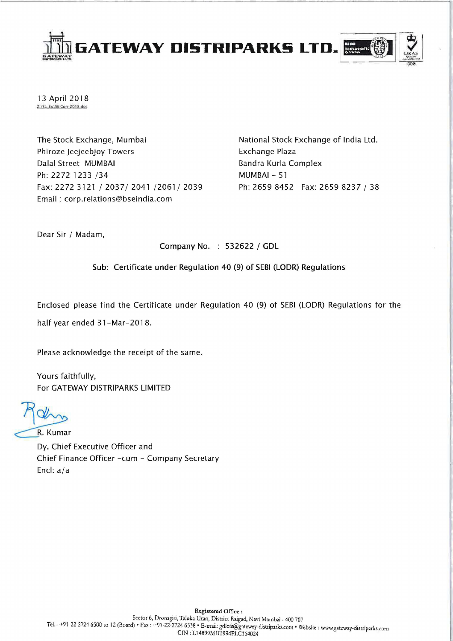

13 April 2018 Z:\St. Ex\SE Corr 2018.doc

The Stock Exchange, Mumbai Phiroze Jeejeebjoy Towers Dalal Street MUMBAI Ph: 2272 1233 /34 Fax: 2272 3121/2037/2041/2061/2039 Email: corp.relations@bseindia.com

National Stock Exchange of India Ltd. Exchange Plaza Bandra Kurla Complex MUMBAI - 51 Ph: 2659 8452 Fax: 2659 8237 / 38

Dear Sir / Madam,

Company No. : 532622 / GDL

Sub: Certificate under Regulation 40 (9) of SEBI (LODR) Regulations

Enclosed please find the Certificate under Regulation 40 (9) of SEBI (LODR) Regulations for the

half year ended 31-Mar-2018.

Please acknowledge the receipt of the same.

Yours faithfully, For GATEWAY DISTRIPARKS LIMITED

Rohm<br>R. Kumar

Dy. Chief Executive Officer and Chief Finance Officer -cum - Company Secretary Encl: a/a